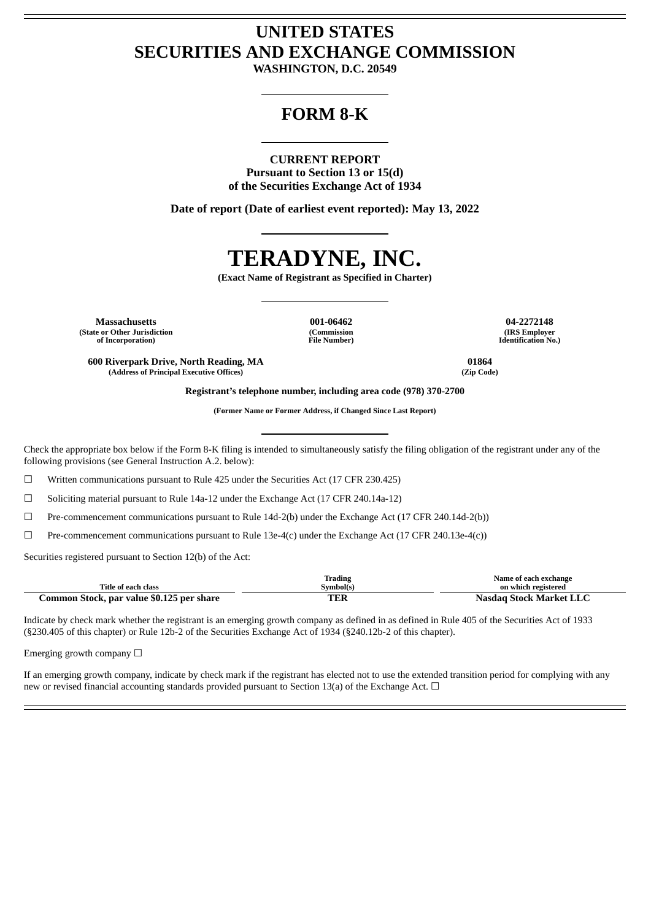## **UNITED STATES SECURITIES AND EXCHANGE COMMISSION**

**WASHINGTON, D.C. 20549**

### **FORM 8-K**

#### **CURRENT REPORT**

**Pursuant to Section 13 or 15(d) of the Securities Exchange Act of 1934**

**Date of report (Date of earliest event reported): May 13, 2022**

# **TERADYNE, INC.**

**(Exact Name of Registrant as Specified in Charter)**

**Massachusetts 001-06462 04-2272148 (State or Other Jurisdiction of Incorporation)**

**(Commission File Number)**

**(IRS Employer Identification No.)**

**600 Riverpark Drive, North Reading, MA 01864**  $(Address of Principal Executive Office)$ 

**Registrant's telephone number, including area code (978) 370-2700**

**(Former Name or Former Address, if Changed Since Last Report)**

Check the appropriate box below if the Form 8-K filing is intended to simultaneously satisfy the filing obligation of the registrant under any of the following provisions (see General Instruction A.2. below):

☐ Written communications pursuant to Rule 425 under the Securities Act (17 CFR 230.425)

☐ Soliciting material pursuant to Rule 14a-12 under the Exchange Act (17 CFR 240.14a-12)

☐ Pre-commencement communications pursuant to Rule 14d-2(b) under the Exchange Act (17 CFR 240.14d-2(b))

☐ Pre-commencement communications pursuant to Rule 13e-4(c) under the Exchange Act (17 CFR 240.13e-4(c))

Securities registered pursuant to Section 12(b) of the Act:

|                                           | <b>Trading</b> | Name of each exchange          |
|-------------------------------------------|----------------|--------------------------------|
| Title of each class                       | Svmbol(s`      | on which registered            |
| Common Stock, par value \$0.125 per share | гг<br>LCN      | <b>Nasdag Stock Market LLC</b> |

Indicate by check mark whether the registrant is an emerging growth company as defined in as defined in Rule 405 of the Securities Act of 1933 (§230.405 of this chapter) or Rule 12b-2 of the Securities Exchange Act of 1934 (§240.12b-2 of this chapter).

Emerging growth company  $\Box$ 

If an emerging growth company, indicate by check mark if the registrant has elected not to use the extended transition period for complying with any new or revised financial accounting standards provided pursuant to Section 13(a) of the Exchange Act.  $\Box$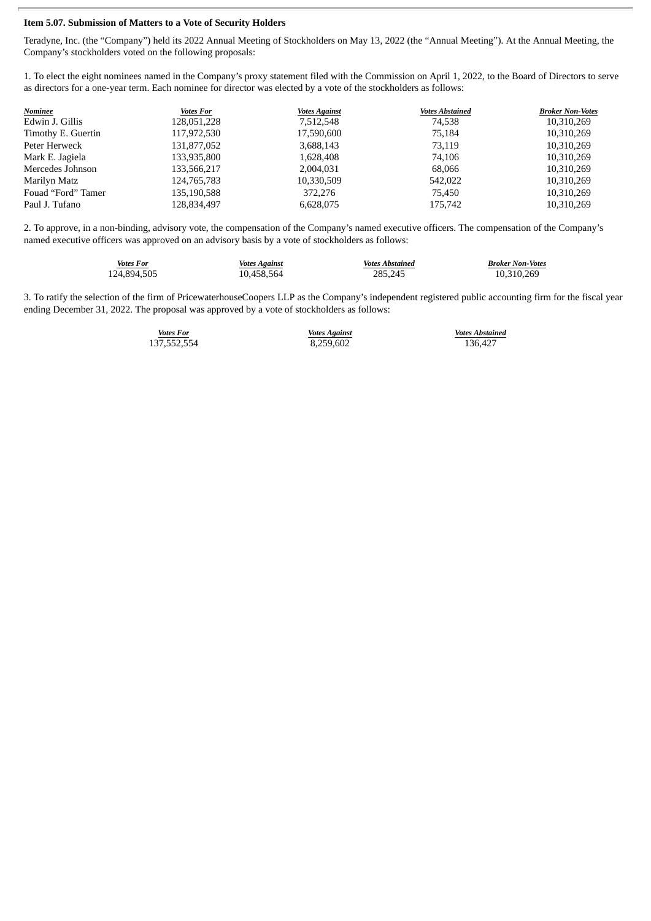#### **Item 5.07. Submission of Matters to a Vote of Security Holders**

Teradyne, Inc. (the "Company") held its 2022 Annual Meeting of Stockholders on May 13, 2022 (the "Annual Meeting"). At the Annual Meeting, the Company's stockholders voted on the following proposals:

1. To elect the eight nominees named in the Company's proxy statement filed with the Commission on April 1, 2022, to the Board of Directors to serve as directors for a one-year term. Each nominee for director was elected by a vote of the stockholders as follows:

| Nominee            | <b>Votes For</b> | <b>Votes Against</b> | <b>Votes Abstained</b> | <b>Broker Non-Votes</b> |
|--------------------|------------------|----------------------|------------------------|-------------------------|
| Edwin J. Gillis    | 128,051,228      | 7,512,548            | 74,538                 | 10,310,269              |
| Timothy E. Guertin | 117,972,530      | 17,590,600           | 75.184                 | 10,310,269              |
| Peter Herweck      | 131,877,052      | 3,688,143            | 73.119                 | 10,310,269              |
| Mark E. Jagiela    | 133,935,800      | 1,628,408            | 74.106                 | 10,310,269              |
| Mercedes Johnson   | 133,566,217      | 2,004,031            | 68,066                 | 10,310,269              |
| Marilyn Matz       | 124,765,783      | 10,330,509           | 542,022                | 10.310.269              |
| Fouad "Ford" Tamer | 135,190,588      | 372,276              | 75,450                 | 10,310,269              |
| Paul J. Tufano     | 128,834,497      | 6,628,075            | 175,742                | 10,310,269              |

2. To approve, in a non-binding, advisory vote, the compensation of the Company's named executive officers. The compensation of the Company's named executive officers was approved on an advisory basis by a vote of stockholders as follows:

| <b>Votes For</b> | <b>Votes Against</b> | <b>Votes Abstained</b> | <b>Broker Non-Votes</b> |
|------------------|----------------------|------------------------|-------------------------|
| 124,894,505      | 10.458.564           | 285,245                | 10,310,269              |

3. To ratify the selection of the firm of PricewaterhouseCoopers LLP as the Company's independent registered public accounting firm for the fiscal year ending December 31, 2022. The proposal was approved by a vote of stockholders as follows:

137,552,554 8,259,602 136,427

*Votes For Votes Against Votes Abstained*